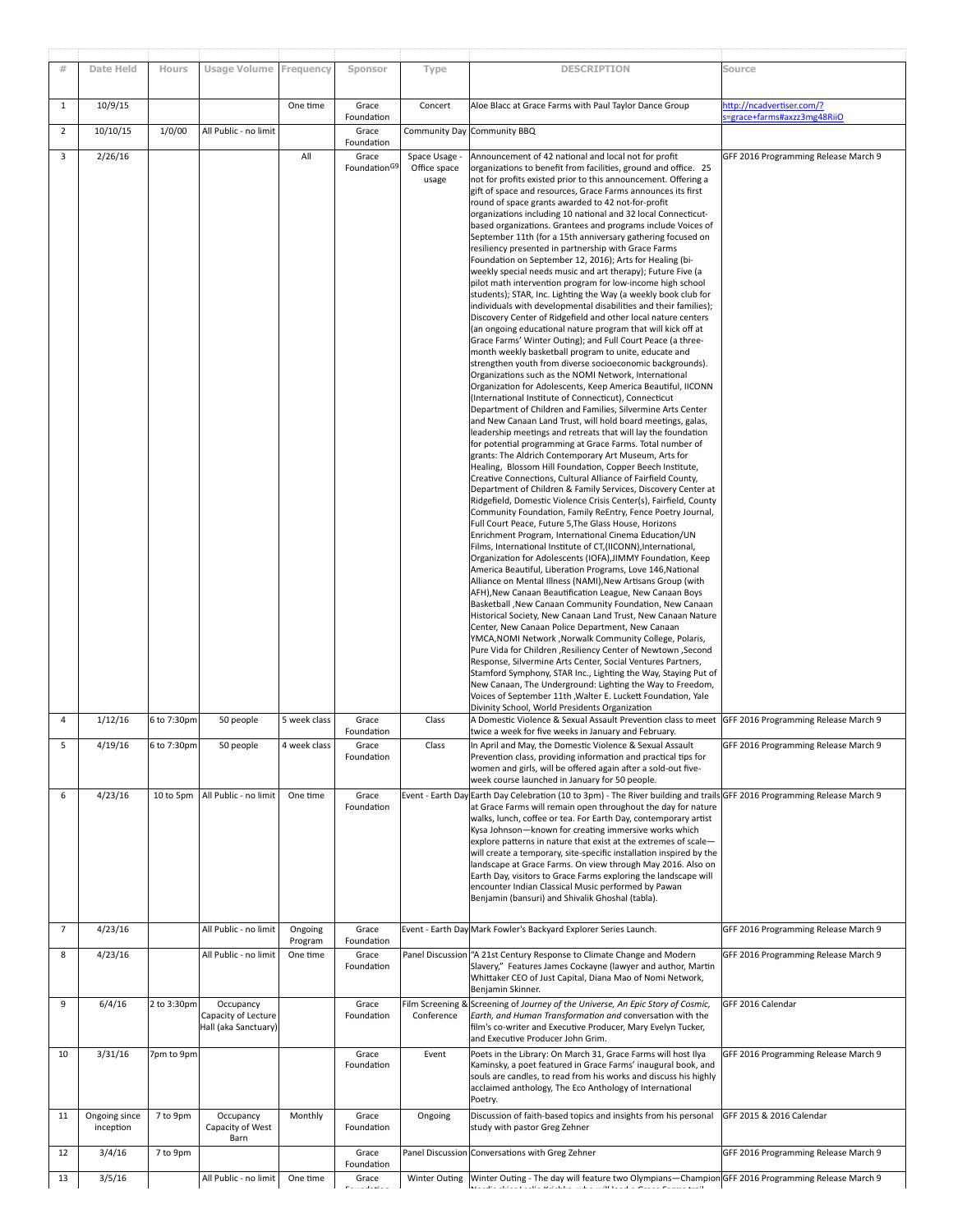| #              | Date Held                  | Hours       | <b>Usage Volume</b>                                      | Frequency          | Sponsor                           | Type                                 | <b>DESCRIPTION</b>                                                                                                                                                                                                                                                                                                                                                                                                                                                                                                                                                                                                                                                                                                                                                                                                                                                                                                                                                                                                                                                                                                                                                                                                                                                                                                                                                                                                                                                                                                                                                                                                                                                                                                                                                                                                                                                                                                                                                                                                                                                                                                                                                                                                                                                                                                                                                                                                                                                                                                                                                                                                                                                                                                                                                                                                                                                                                                                                                                                                                                                                                                                             | Source                                                 |
|----------------|----------------------------|-------------|----------------------------------------------------------|--------------------|-----------------------------------|--------------------------------------|------------------------------------------------------------------------------------------------------------------------------------------------------------------------------------------------------------------------------------------------------------------------------------------------------------------------------------------------------------------------------------------------------------------------------------------------------------------------------------------------------------------------------------------------------------------------------------------------------------------------------------------------------------------------------------------------------------------------------------------------------------------------------------------------------------------------------------------------------------------------------------------------------------------------------------------------------------------------------------------------------------------------------------------------------------------------------------------------------------------------------------------------------------------------------------------------------------------------------------------------------------------------------------------------------------------------------------------------------------------------------------------------------------------------------------------------------------------------------------------------------------------------------------------------------------------------------------------------------------------------------------------------------------------------------------------------------------------------------------------------------------------------------------------------------------------------------------------------------------------------------------------------------------------------------------------------------------------------------------------------------------------------------------------------------------------------------------------------------------------------------------------------------------------------------------------------------------------------------------------------------------------------------------------------------------------------------------------------------------------------------------------------------------------------------------------------------------------------------------------------------------------------------------------------------------------------------------------------------------------------------------------------------------------------------------------------------------------------------------------------------------------------------------------------------------------------------------------------------------------------------------------------------------------------------------------------------------------------------------------------------------------------------------------------------------------------------------------------------------------------------------------------|--------------------------------------------------------|
| $\mathbf{1}$   | 10/9/15                    |             |                                                          | One time           | Grace<br>Foundation               | Concert                              | Aloe Blacc at Grace Farms with Paul Taylor Dance Group                                                                                                                                                                                                                                                                                                                                                                                                                                                                                                                                                                                                                                                                                                                                                                                                                                                                                                                                                                                                                                                                                                                                                                                                                                                                                                                                                                                                                                                                                                                                                                                                                                                                                                                                                                                                                                                                                                                                                                                                                                                                                                                                                                                                                                                                                                                                                                                                                                                                                                                                                                                                                                                                                                                                                                                                                                                                                                                                                                                                                                                                                         | sttp://ncadvertiser.com/?<br>erace+farms#axzz3mg48RiiO |
| $\overline{2}$ | 10/10/15                   | 1/0/00      | All Public - no limit                                    |                    | Grace<br>Foundation               |                                      | Community Day Community BBQ                                                                                                                                                                                                                                                                                                                                                                                                                                                                                                                                                                                                                                                                                                                                                                                                                                                                                                                                                                                                                                                                                                                                                                                                                                                                                                                                                                                                                                                                                                                                                                                                                                                                                                                                                                                                                                                                                                                                                                                                                                                                                                                                                                                                                                                                                                                                                                                                                                                                                                                                                                                                                                                                                                                                                                                                                                                                                                                                                                                                                                                                                                                    |                                                        |
| 3              | 2/26/16                    |             |                                                          | All                | Grace<br>Foundation <sup>G9</sup> | Space Usage<br>Office space<br>usage | Announcement of 42 national and local not for profit<br>organizations to benefit from facilities, ground and office. 25<br>not for profits existed prior to this announcement. Offering a<br>gift of space and resources, Grace Farms announces its first<br>round of space grants awarded to 42 not-for-profit<br>organizations including 10 national and 32 local Connecticut-<br>based organizations. Grantees and programs include Voices of<br>September 11th (for a 15th anniversary gathering focused on<br>resiliency presented in partnership with Grace Farms<br>Foundation on September 12, 2016); Arts for Healing (bi-<br>weekly special needs music and art therapy); Future Five (a<br>pilot math intervention program for low-income high school<br>students); STAR, Inc. Lighting the Way (a weekly book club for<br>individuals with developmental disabilities and their families);<br>Discovery Center of Ridgefield and other local nature centers<br>(an ongoing educational nature program that will kick off at<br>Grace Farms' Winter Outing); and Full Court Peace (a three-<br>month weekly basketball program to unite, educate and<br>strengthen youth from diverse socioeconomic backgrounds).<br>Organizations such as the NOMI Network, International<br>Organization for Adolescents, Keep America Beautiful, IICONN<br>(International Institute of Connecticut), Connecticut<br>Department of Children and Families, Silvermine Arts Center<br>and New Canaan Land Trust, will hold board meetings, galas,<br>leadership meetings and retreats that will lay the foundation<br>for potential programming at Grace Farms. Total number of<br>grants: The Aldrich Contemporary Art Museum, Arts for<br>Healing, Blossom Hill Foundation, Copper Beech Institute,<br>Creative Connections, Cultural Alliance of Fairfield County,<br>Department of Children & Family Services, Discovery Center at<br>Ridgefield, Domestic Violence Crisis Center(s), Fairfield, County<br>Community Foundation, Family ReEntry, Fence Poetry Journal,<br>Full Court Peace, Future 5, The Glass House, Horizons<br>Enrichment Program, International Cinema Education/UN<br>Films, International Institute of CT, (IICONN), International,<br>Organization for Adolescents (IOFA), JIMMY Foundation, Keep<br>America Beautiful, Liberation Programs, Love 146, National<br>Alliance on Mental Illness (NAMI), New Artisans Group (with<br>AFH), New Canaan Beautification League, New Canaan Boys<br>Basketball , New Canaan Community Foundation, New Canaan<br>Historical Society, New Canaan Land Trust, New Canaan Nature<br>Center, New Canaan Police Department, New Canaan<br>YMCA, NOMI Network, Norwalk Community College, Polaris,<br>Pure Vida for Children , Resiliency Center of Newtown , Second<br>Response, Silvermine Arts Center, Social Ventures Partners,<br>Stamford Symphony, STAR Inc., Lighting the Way, Staying Put of<br>New Canaan, The Underground: Lighting the Way to Freedom,<br>Voices of September 11th , Walter E. Luckett Foundation, Yale<br>Divinity School, World Presidents Organization | GFF 2016 Programming Release March 9                   |
| 4              | 1/12/16                    | 6 to 7:30pm | 50 people                                                | 5 week class       | Grace<br>Foundation               | Class                                | A Domestic Violence & Sexual Assault Prevention class to meet GFF 2016 Programming Release March 9<br>twice a week for five weeks in January and February.                                                                                                                                                                                                                                                                                                                                                                                                                                                                                                                                                                                                                                                                                                                                                                                                                                                                                                                                                                                                                                                                                                                                                                                                                                                                                                                                                                                                                                                                                                                                                                                                                                                                                                                                                                                                                                                                                                                                                                                                                                                                                                                                                                                                                                                                                                                                                                                                                                                                                                                                                                                                                                                                                                                                                                                                                                                                                                                                                                                     |                                                        |
| 5              | 4/19/16                    | 6 to 7:30pm | 50 people                                                | 4 week class       | Grace<br>Foundation               | Class                                | In April and May, the Domestic Violence & Sexual Assault<br>Prevention class, providing information and practical tips for<br>women and girls, will be offered again after a sold-out five-<br>week course launched in January for 50 people.                                                                                                                                                                                                                                                                                                                                                                                                                                                                                                                                                                                                                                                                                                                                                                                                                                                                                                                                                                                                                                                                                                                                                                                                                                                                                                                                                                                                                                                                                                                                                                                                                                                                                                                                                                                                                                                                                                                                                                                                                                                                                                                                                                                                                                                                                                                                                                                                                                                                                                                                                                                                                                                                                                                                                                                                                                                                                                  | GFF 2016 Programming Release March 9                   |
| 6              | 4/23/16                    | 10 to 5pm   | All Public - no limit                                    | One time           | Grace<br>Foundation               |                                      | Event - Earth Day Earth Day Celebration (10 to 3pm) - The River building and trails GFF 2016 Programming Release March 9<br>at Grace Farms will remain open throughout the day for nature<br>walks, lunch, coffee or tea. For Earth Day, contemporary artist<br>Kysa Johnson-known for creating immersive works which<br>explore patterns in nature that exist at the extremes of scale-<br>will create a temporary, site-specific installation inspired by the<br>landscape at Grace Farms. On view through May 2016. Also on<br>Earth Day, visitors to Grace Farms exploring the landscape will<br>encounter Indian Classical Music performed by Pawan<br>Benjamin (bansuri) and Shivalik Ghoshal (tabla).                                                                                                                                                                                                                                                                                                                                                                                                                                                                                                                                                                                                                                                                                                                                                                                                                                                                                                                                                                                                                                                                                                                                                                                                                                                                                                                                                                                                                                                                                                                                                                                                                                                                                                                                                                                                                                                                                                                                                                                                                                                                                                                                                                                                                                                                                                                                                                                                                                   |                                                        |
| $\overline{7}$ | 4/23/16                    |             | All Public - no limit                                    | Ongoing<br>Program | Grace<br>Foundation               |                                      | Event - Earth Day Mark Fowler's Backyard Explorer Series Launch.                                                                                                                                                                                                                                                                                                                                                                                                                                                                                                                                                                                                                                                                                                                                                                                                                                                                                                                                                                                                                                                                                                                                                                                                                                                                                                                                                                                                                                                                                                                                                                                                                                                                                                                                                                                                                                                                                                                                                                                                                                                                                                                                                                                                                                                                                                                                                                                                                                                                                                                                                                                                                                                                                                                                                                                                                                                                                                                                                                                                                                                                               | GFF 2016 Programming Release March 9                   |
| 8              | 4/23/16                    |             | All Public - no limit                                    | One time           | Grace<br>Foundation               |                                      | Panel Discussion "A 21st Century Response to Climate Change and Modern<br>Slavery," Features James Cockayne (lawyer and author, Martin<br>Whittaker CEO of Just Capital, Diana Mao of Nomi Network,<br>Benjamin Skinner.                                                                                                                                                                                                                                                                                                                                                                                                                                                                                                                                                                                                                                                                                                                                                                                                                                                                                                                                                                                                                                                                                                                                                                                                                                                                                                                                                                                                                                                                                                                                                                                                                                                                                                                                                                                                                                                                                                                                                                                                                                                                                                                                                                                                                                                                                                                                                                                                                                                                                                                                                                                                                                                                                                                                                                                                                                                                                                                       | GFF 2016 Programming Release March 9                   |
| 9              | 6/4/16                     | 2 to 3:30pm | Occupancy<br>Capacity of Lecture<br>Hall (aka Sanctuary) |                    | Grace<br>Foundation               | ilm Screening &<br>Conference        | Screening of Journey of the Universe, An Epic Story of Cosmic,<br>Earth, and Human Transformation and conversation with the<br>film's co-writer and Executive Producer, Mary Evelyn Tucker,<br>and Executive Producer John Grim.                                                                                                                                                                                                                                                                                                                                                                                                                                                                                                                                                                                                                                                                                                                                                                                                                                                                                                                                                                                                                                                                                                                                                                                                                                                                                                                                                                                                                                                                                                                                                                                                                                                                                                                                                                                                                                                                                                                                                                                                                                                                                                                                                                                                                                                                                                                                                                                                                                                                                                                                                                                                                                                                                                                                                                                                                                                                                                               | GFF 2016 Calendar                                      |
| 10             | 3/31/16                    | 7pm to 9pm  |                                                          |                    | Grace<br>Foundation               | Event                                | Poets in the Library: On March 31, Grace Farms will host Ilya<br>Kaminsky, a poet featured in Grace Farms' inaugural book, and<br>souls are candles, to read from his works and discuss his highly<br>acclaimed anthology, The Eco Anthology of International<br>Poetry.                                                                                                                                                                                                                                                                                                                                                                                                                                                                                                                                                                                                                                                                                                                                                                                                                                                                                                                                                                                                                                                                                                                                                                                                                                                                                                                                                                                                                                                                                                                                                                                                                                                                                                                                                                                                                                                                                                                                                                                                                                                                                                                                                                                                                                                                                                                                                                                                                                                                                                                                                                                                                                                                                                                                                                                                                                                                       | GFF 2016 Programming Release March 9                   |
| 11             | Ongoing since<br>inception | 7 to 9pm    | Occupancy<br>Capacity of West<br>Barn                    | Monthly            | Grace<br>Foundation               | Ongoing                              | Discussion of faith-based topics and insights from his personal<br>study with pastor Greg Zehner                                                                                                                                                                                                                                                                                                                                                                                                                                                                                                                                                                                                                                                                                                                                                                                                                                                                                                                                                                                                                                                                                                                                                                                                                                                                                                                                                                                                                                                                                                                                                                                                                                                                                                                                                                                                                                                                                                                                                                                                                                                                                                                                                                                                                                                                                                                                                                                                                                                                                                                                                                                                                                                                                                                                                                                                                                                                                                                                                                                                                                               | GFF 2015 & 2016 Calendar                               |
| 12             | 3/4/16                     | 7 to 9pm    |                                                          |                    | Grace<br>Foundation               |                                      | Panel Discussion Conversations with Greg Zehner                                                                                                                                                                                                                                                                                                                                                                                                                                                                                                                                                                                                                                                                                                                                                                                                                                                                                                                                                                                                                                                                                                                                                                                                                                                                                                                                                                                                                                                                                                                                                                                                                                                                                                                                                                                                                                                                                                                                                                                                                                                                                                                                                                                                                                                                                                                                                                                                                                                                                                                                                                                                                                                                                                                                                                                                                                                                                                                                                                                                                                                                                                | GFF 2016 Programming Release March 9                   |
| 13             | 3/5/16                     |             | All Public - no limit                                    | One time           | Grace                             | Winter Outing                        | Winter Outing - The day will feature two Olympians-Champion GFF 2016 Programming Release March 9                                                                                                                                                                                                                                                                                                                                                                                                                                                                                                                                                                                                                                                                                                                                                                                                                                                                                                                                                                                                                                                                                                                                                                                                                                                                                                                                                                                                                                                                                                                                                                                                                                                                                                                                                                                                                                                                                                                                                                                                                                                                                                                                                                                                                                                                                                                                                                                                                                                                                                                                                                                                                                                                                                                                                                                                                                                                                                                                                                                                                                               |                                                        |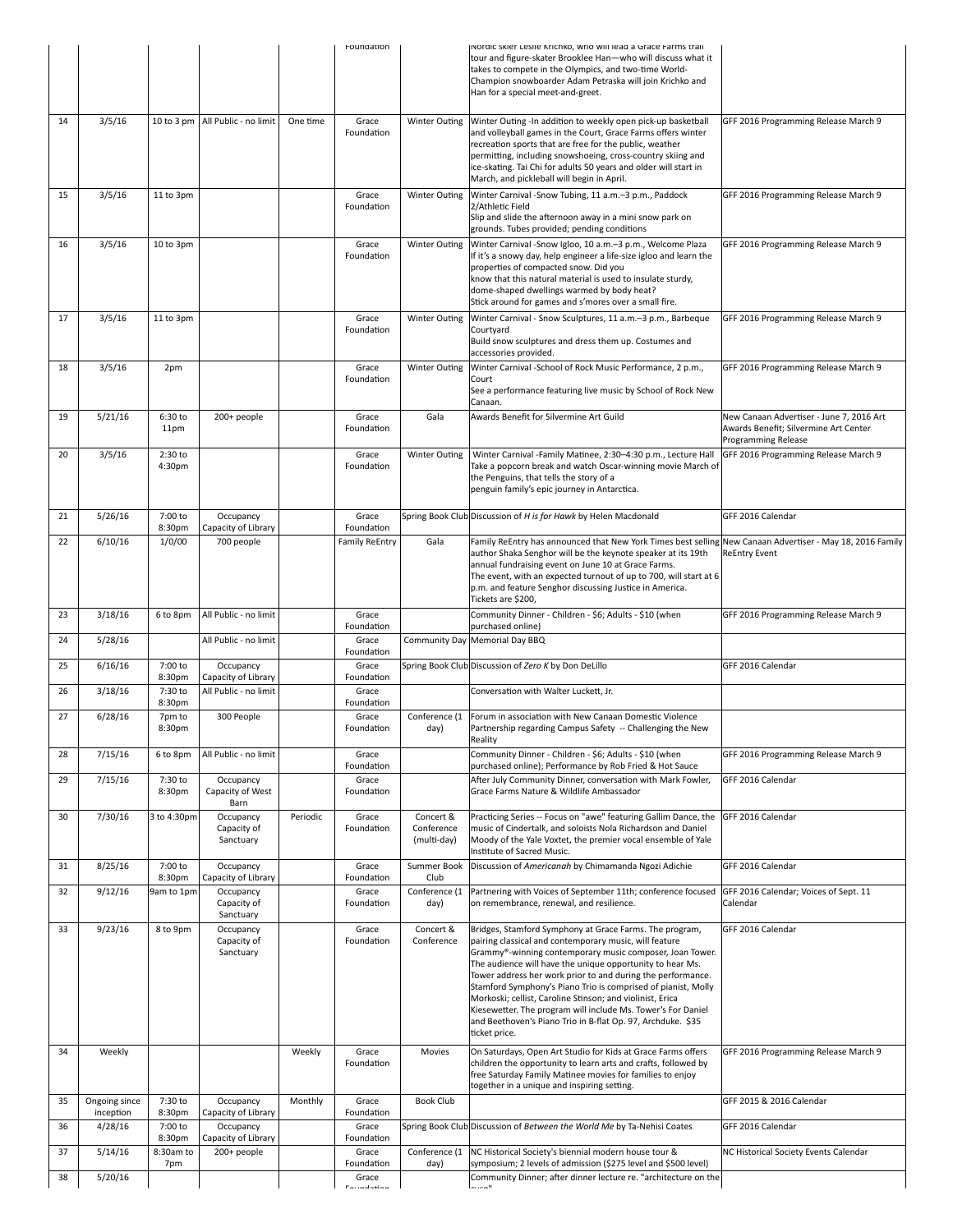|          |                            |                     |                                       |          | Foundation                                        |                                        | Nordic skier Leslie Krichko, who will lead a Grace Farms trail<br>tour and figure-skater Brooklee Han-who will discuss what it<br>takes to compete in the Olympics, and two-time World-<br>Champion snowboarder Adam Petraska will join Krichko and<br>Han for a special meet-and-greet.                                                                                                                                                                                                                                                                                                |                                                                                                          |
|----------|----------------------------|---------------------|---------------------------------------|----------|---------------------------------------------------|----------------------------------------|-----------------------------------------------------------------------------------------------------------------------------------------------------------------------------------------------------------------------------------------------------------------------------------------------------------------------------------------------------------------------------------------------------------------------------------------------------------------------------------------------------------------------------------------------------------------------------------------|----------------------------------------------------------------------------------------------------------|
| 14       | 3/5/16                     | 10 to 3 pm          | All Public - no limit                 | One time | Grace<br>Foundation                               | <b>Winter Outing</b>                   | Winter Outing -In addition to weekly open pick-up basketball<br>and volleyball games in the Court, Grace Farms offers winter<br>recreation sports that are free for the public, weather<br>permitting, including snowshoeing, cross-country skiing and<br>ice-skating. Tai Chi for adults 50 years and older will start in<br>March, and pickleball will begin in April.                                                                                                                                                                                                                | GFF 2016 Programming Release March 9                                                                     |
| 15       | 3/5/16                     | 11 to 3pm           |                                       |          | Grace<br>Foundation                               | <b>Winter Outing</b>                   | Winter Carnival -Snow Tubing, 11 a.m.-3 p.m., Paddock<br>2/Athletic Field<br>Slip and slide the afternoon away in a mini snow park on<br>grounds. Tubes provided; pending conditions                                                                                                                                                                                                                                                                                                                                                                                                    | GFF 2016 Programming Release March 9                                                                     |
| 16       | 3/5/16                     | 10 to 3pm           |                                       |          | Grace<br>Foundation                               | <b>Winter Outing</b>                   | Winter Carnival -Snow Igloo, 10 a.m.-3 p.m., Welcome Plaza<br>If it's a snowy day, help engineer a life-size igloo and learn the<br>properties of compacted snow. Did you<br>know that this natural material is used to insulate sturdy,<br>dome-shaped dwellings warmed by body heat?<br>Stick around for games and s'mores over a small fire.                                                                                                                                                                                                                                         | GFF 2016 Programming Release March 9                                                                     |
| 17       | 3/5/16                     | 11 to 3pm           |                                       |          | Grace<br>Foundation                               | <b>Winter Outing</b>                   | Winter Carnival - Snow Sculptures, 11 a.m.-3 p.m., Barbeque<br>Courtyard<br>Build snow sculptures and dress them up. Costumes and<br>accessories provided.                                                                                                                                                                                                                                                                                                                                                                                                                              | GFF 2016 Programming Release March 9                                                                     |
| 18       | 3/5/16                     | 2pm                 |                                       |          | Grace<br>Foundation                               | <b>Winter Outing</b>                   | Winter Carnival -School of Rock Music Performance, 2 p.m.,<br>Court<br>See a performance featuring live music by School of Rock New<br>Canaan.                                                                                                                                                                                                                                                                                                                                                                                                                                          | GFF 2016 Programming Release March 9                                                                     |
| 19       | 5/21/16                    | 6:30 to<br>11pm     | 200+ people                           |          | Grace<br>Foundation                               | Gala                                   | Awards Benefit for Silvermine Art Guild                                                                                                                                                                                                                                                                                                                                                                                                                                                                                                                                                 | New Canaan Advertiser - June 7, 2016 Art<br>Awards Benefit; Silvermine Art Center<br>Programming Release |
| 20       | 3/5/16                     | $2:30$ to<br>4:30pm |                                       |          | Grace<br>Foundation                               | Winter Outing                          | Winter Carnival -Family Matinee, 2:30-4:30 p.m., Lecture Hall<br>Take a popcorn break and watch Oscar-winning movie March of<br>the Penguins, that tells the story of a<br>penguin family's epic journey in Antarctica.                                                                                                                                                                                                                                                                                                                                                                 | GFF 2016 Programming Release March 9                                                                     |
| 21       | 5/26/16                    | 7:00 to<br>8:30pm   | Occupancy<br>Capacity of Library      |          | Grace<br>Foundation                               |                                        | Spring Book Club Discussion of H is for Hawk by Helen Macdonald                                                                                                                                                                                                                                                                                                                                                                                                                                                                                                                         | GFF 2016 Calendar                                                                                        |
| 22       | 6/10/16                    | 1/0/00              | 700 people                            |          | <b>Family ReEntry</b>                             | Gala                                   | Family ReEntry has announced that New York Times best selling<br>author Shaka Senghor will be the keynote speaker at its 19th<br>annual fundraising event on June 10 at Grace Farms.<br>The event, with an expected turnout of up to 700, will start at 6<br>p.m. and feature Senghor discussing Justice in America.<br>Tickets are \$200,                                                                                                                                                                                                                                              | New Canaan Advertiser - May 18, 2016 Family<br><b>ReEntry Event</b>                                      |
| 23       | 3/18/16                    | 6 to 8pm            | All Public - no limit                 |          | Grace<br>Foundation                               |                                        | Community Dinner - Children - \$6; Adults - \$10 (when<br>purchased online)                                                                                                                                                                                                                                                                                                                                                                                                                                                                                                             | GFF 2016 Programming Release March 9                                                                     |
| 24       | 5/28/16                    |                     | All Public - no limit                 |          | Grace<br>Foundation                               |                                        | Community Day Memorial Day BBQ                                                                                                                                                                                                                                                                                                                                                                                                                                                                                                                                                          |                                                                                                          |
| 25       | 6/16/16                    | 7:00 to<br>8:30pm   | Occupancy<br>Capacity of Library      |          | Grace<br>Foundation                               |                                        | Spring Book Club Discussion of Zero K by Don DeLillo                                                                                                                                                                                                                                                                                                                                                                                                                                                                                                                                    | GFF 2016 Calendar                                                                                        |
| 26       | 3/18/16                    | 7:30 to<br>8:30pm   | All Public - no limit                 |          | Grace<br>Foundation                               |                                        | Conversation with Walter Luckett, Jr.                                                                                                                                                                                                                                                                                                                                                                                                                                                                                                                                                   |                                                                                                          |
| 27       | 6/28/16                    | 7pm to<br>8:30pm    | 300 People                            |          | Grace<br>Foundation                               | Conference (1<br>day)                  | Forum in association with New Canaan Domestic Violence<br>Partnership regarding Campus Safety -- Challenging the New<br>Reality                                                                                                                                                                                                                                                                                                                                                                                                                                                         |                                                                                                          |
| 28       | 7/15/16                    | 6 to 8pm            | All Public - no limit                 |          | Grace<br>Foundation                               |                                        | Community Dinner - Children - \$6; Adults - \$10 (when<br>purchased online); Performance by Rob Fried & Hot Sauce                                                                                                                                                                                                                                                                                                                                                                                                                                                                       | GFF 2016 Programming Release March 9                                                                     |
| 29       | 7/15/16                    | 7:30 to<br>8:30pm   | Occupancy<br>Capacity of West<br>Barn |          | Grace<br>Foundation                               |                                        | After July Community Dinner, conversation with Mark Fowler,<br>Grace Farms Nature & Wildlife Ambassador                                                                                                                                                                                                                                                                                                                                                                                                                                                                                 | GFF 2016 Calendar                                                                                        |
| 30       | 7/30/16                    | 3 to 4:30pm         | Occupancy<br>Capacity of<br>Sanctuary | Periodic | Grace<br>Foundation                               | Concert &<br>Conference<br>(multi-day) | Practicing Series -- Focus on "awe" featuring Gallim Dance, the<br>music of Cindertalk, and soloists Nola Richardson and Daniel<br>Moody of the Yale Voxtet, the premier vocal ensemble of Yale<br>Institute of Sacred Music.                                                                                                                                                                                                                                                                                                                                                           | GFF 2016 Calendar                                                                                        |
| 31       | 8/25/16                    | 7:00 to<br>8:30pm   | Occupancy<br>Capacity of Library      |          | Grace<br>Foundation                               | Summer Book<br>Club                    | Discussion of Americanah by Chimamanda Ngozi Adichie                                                                                                                                                                                                                                                                                                                                                                                                                                                                                                                                    | GFF 2016 Calendar                                                                                        |
| 32       | 9/12/16                    | 9am to 1pm          | Occupancy<br>Capacity of<br>Sanctuary |          | Grace<br>Foundation                               | Conference (1<br>day)                  | Partnering with Voices of September 11th; conference focused<br>on remembrance, renewal, and resilience.                                                                                                                                                                                                                                                                                                                                                                                                                                                                                | GFF 2016 Calendar; Voices of Sept. 11<br>Calendar                                                        |
| 33       | 9/23/16                    | 8 to 9pm            | Occupancy<br>Capacity of<br>Sanctuary |          | Grace<br>Foundation                               | Concert &<br>Conference                | Bridges, Stamford Symphony at Grace Farms. The program,<br>pairing classical and contemporary music, will feature<br>Grammy®-winning contemporary music composer, Joan Tower.<br>The audience will have the unique opportunity to hear Ms.<br>Tower address her work prior to and during the performance.<br>Stamford Symphony's Piano Trio is comprised of pianist, Molly<br>Morkoski; cellist, Caroline Stinson; and violinist, Erica<br>Kiesewetter. The program will include Ms. Tower's For Daniel<br>and Beethoven's Piano Trio in B-flat Op. 97, Archduke. \$35<br>ticket price. | GFF 2016 Calendar                                                                                        |
| 34       | Weekly                     |                     |                                       | Weekly   | Grace<br>Foundation                               | Movies                                 | On Saturdays, Open Art Studio for Kids at Grace Farms offers<br>children the opportunity to learn arts and crafts, followed by<br>free Saturday Family Matinee movies for families to enjoy<br>together in a unique and inspiring setting.                                                                                                                                                                                                                                                                                                                                              | GFF 2016 Programming Release March 9                                                                     |
| 35       | Ongoing since<br>inception | 7:30 to<br>8:30pm   | Occupancy<br>Capacity of Library      | Monthly  | Grace<br>Foundation                               | <b>Book Club</b>                       |                                                                                                                                                                                                                                                                                                                                                                                                                                                                                                                                                                                         | GFF 2015 & 2016 Calendar                                                                                 |
| 36       | 4/28/16                    | 7:00 to<br>8:30pm   | Occupancy<br>Capacity of Library      |          | Grace<br>Foundation                               |                                        | Spring Book Club Discussion of Between the World Me by Ta-Nehisi Coates                                                                                                                                                                                                                                                                                                                                                                                                                                                                                                                 | GFF 2016 Calendar                                                                                        |
| 37<br>38 | 5/14/16<br>5/20/16         | 8:30am to<br>7pm    | 200+ people                           |          | Grace<br>Foundation<br>Grace<br><b>Foundation</b> | Conference (1<br>day)                  | NC Historical Society's biennial modern house tour &<br>symposium; 2 levels of admission (\$275 level and \$500 level)<br>Community Dinner; after dinner lecture re. "architecture on the                                                                                                                                                                                                                                                                                                                                                                                               | NC Historical Society Events Calendar                                                                    |
|          |                            |                     |                                       |          |                                                   |                                        |                                                                                                                                                                                                                                                                                                                                                                                                                                                                                                                                                                                         |                                                                                                          |
|          |                            |                     |                                       |          |                                                   |                                        | الممتنما                                                                                                                                                                                                                                                                                                                                                                                                                                                                                                                                                                                |                                                                                                          |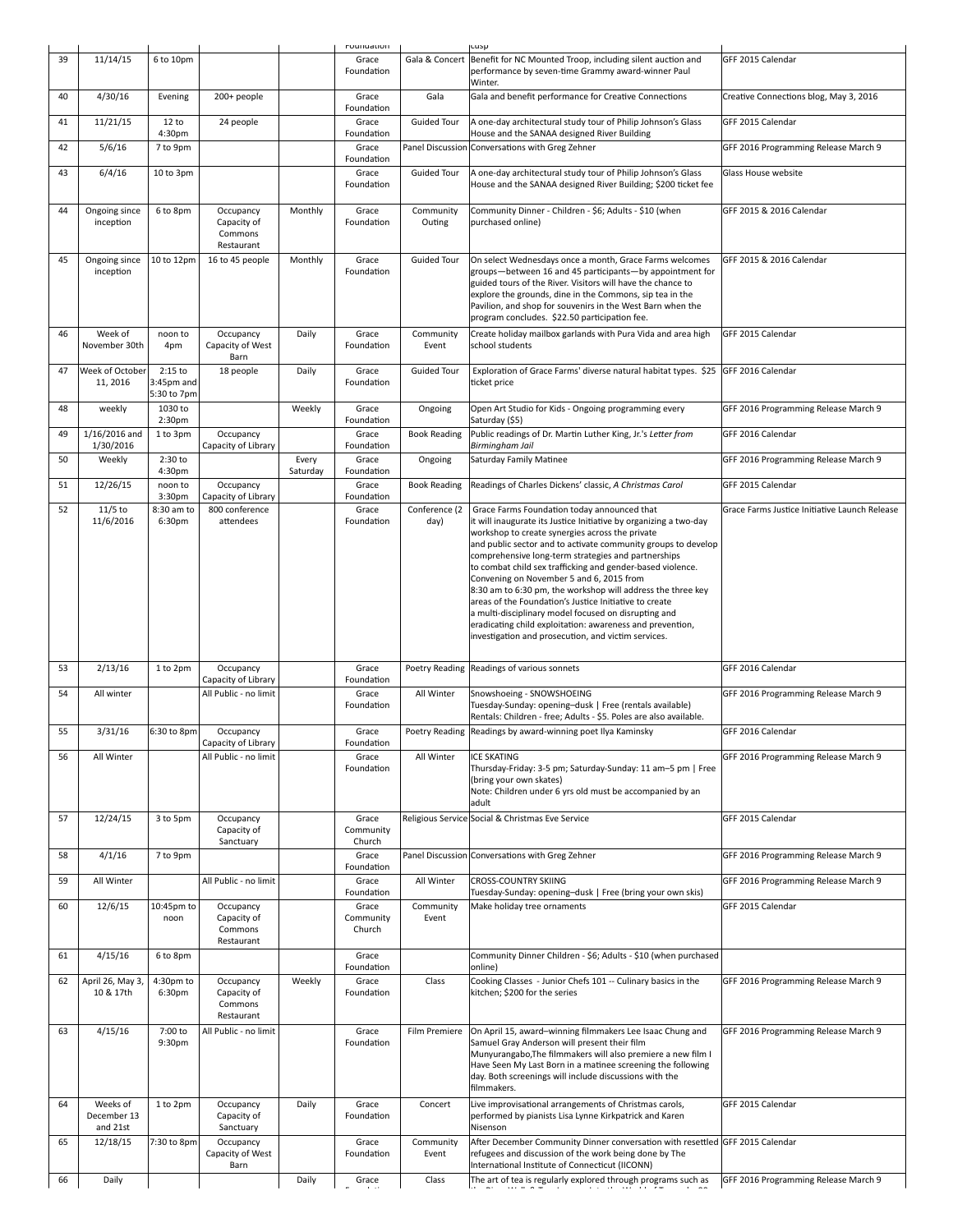|    |                                     |                                        |                                                   |                   | roundation                   |                       | cusp                                                                                                                                                                                                                                                                                                                                                                                                                                                                                                                                                                                                                                                                                                       |                                               |
|----|-------------------------------------|----------------------------------------|---------------------------------------------------|-------------------|------------------------------|-----------------------|------------------------------------------------------------------------------------------------------------------------------------------------------------------------------------------------------------------------------------------------------------------------------------------------------------------------------------------------------------------------------------------------------------------------------------------------------------------------------------------------------------------------------------------------------------------------------------------------------------------------------------------------------------------------------------------------------------|-----------------------------------------------|
| 39 | 11/14/15                            | 6 to 10pm                              |                                                   |                   | Grace<br>Foundation          | Gala & Concert        | Benefit for NC Mounted Troop, including silent auction and<br>performance by seven-time Grammy award-winner Paul<br>Winter.                                                                                                                                                                                                                                                                                                                                                                                                                                                                                                                                                                                | GFF 2015 Calendar                             |
| 40 | 4/30/16                             | Evening                                | 200+ people                                       |                   | Grace<br>Foundation          | Gala                  | Gala and benefit performance for Creative Connections                                                                                                                                                                                                                                                                                                                                                                                                                                                                                                                                                                                                                                                      | Creative Connections blog, May 3, 2016        |
| 41 | 11/21/15                            | 12 to<br>4:30pm                        | 24 people                                         |                   | Grace<br>Foundation          | <b>Guided Tour</b>    | A one-day architectural study tour of Philip Johnson's Glass<br>House and the SANAA designed River Building                                                                                                                                                                                                                                                                                                                                                                                                                                                                                                                                                                                                | GFF 2015 Calendar                             |
| 42 | 5/6/16                              | 7 to 9pm                               |                                                   |                   | Grace<br>Foundation          | Panel Discussion      | Conversations with Greg Zehner                                                                                                                                                                                                                                                                                                                                                                                                                                                                                                                                                                                                                                                                             | GFF 2016 Programming Release March 9          |
| 43 | 6/4/16                              | 10 to 3pm                              |                                                   |                   | Grace<br>Foundation          | <b>Guided Tour</b>    | A one-day architectural study tour of Philip Johnson's Glass<br>House and the SANAA designed River Building; \$200 ticket fee                                                                                                                                                                                                                                                                                                                                                                                                                                                                                                                                                                              | Glass House website                           |
| 44 | Ongoing since<br>inception          | 6 to 8pm                               | Occupancy<br>Capacity of<br>Commons<br>Restaurant | Monthly           | Grace<br>Foundation          | Community<br>Outing   | Community Dinner - Children - \$6; Adults - \$10 (when<br>purchased online)                                                                                                                                                                                                                                                                                                                                                                                                                                                                                                                                                                                                                                | GFF 2015 & 2016 Calendar                      |
| 45 | Ongoing since<br>inception          | 10 to 12pm                             | 16 to 45 people                                   | Monthly           | Grace<br>Foundation          | <b>Guided Tour</b>    | On select Wednesdays once a month, Grace Farms welcomes<br>groups-between 16 and 45 participants-by appointment for<br>guided tours of the River. Visitors will have the chance to<br>explore the grounds, dine in the Commons, sip tea in the<br>Pavilion, and shop for souvenirs in the West Barn when the<br>program concludes. \$22.50 participation fee.                                                                                                                                                                                                                                                                                                                                              | GFF 2015 & 2016 Calendar                      |
| 46 | Week of<br>November 30th            | noon to<br>4pm                         | Occupancy<br>Capacity of West<br>Barn             | Daily             | Grace<br>Foundation          | Community<br>Event    | Create holiday mailbox garlands with Pura Vida and area high<br>school students                                                                                                                                                                                                                                                                                                                                                                                                                                                                                                                                                                                                                            | GFF 2015 Calendar                             |
| 47 | Week of October<br>11, 2016         | $2:15$ to<br>3:45pm and<br>5:30 to 7pm | 18 people                                         | Daily             | Grace<br>Foundation          | <b>Guided Tour</b>    | Exploration of Grace Farms' diverse natural habitat types. \$25<br>ticket price                                                                                                                                                                                                                                                                                                                                                                                                                                                                                                                                                                                                                            | GFF 2016 Calendar                             |
| 48 | weekly                              | 1030 to<br>2:30 <sub>pm</sub>          |                                                   | Weekly            | Grace<br>Foundation          | Ongoing               | Open Art Studio for Kids - Ongoing programming every<br>Saturday (\$5)                                                                                                                                                                                                                                                                                                                                                                                                                                                                                                                                                                                                                                     | GFF 2016 Programming Release March 9          |
| 49 | 1/16/2016 and<br>1/30/2016          | 1 to 3pm                               | Occupancy<br>Capacity of Library                  |                   | Grace<br>Foundation          | <b>Book Reading</b>   | Public readings of Dr. Martin Luther King, Jr.'s Letter from<br>Birmingham Jail                                                                                                                                                                                                                                                                                                                                                                                                                                                                                                                                                                                                                            | GFF 2016 Calendar                             |
| 50 | Weekly                              | 2:30 to<br>4:30pm                      |                                                   | Every<br>Saturday | Grace<br>Foundation          | Ongoing               | Saturday Family Matinee                                                                                                                                                                                                                                                                                                                                                                                                                                                                                                                                                                                                                                                                                    | GFF 2016 Programming Release March 9          |
| 51 | 12/26/15                            | noon to<br>3:30 <sub>pm</sub>          | Occupancy<br>Capacity of Library                  |                   | Grace<br>Foundation          | <b>Book Reading</b>   | Readings of Charles Dickens' classic, A Christmas Carol                                                                                                                                                                                                                                                                                                                                                                                                                                                                                                                                                                                                                                                    | GFF 2015 Calendar                             |
| 52 | $11/5$ to<br>11/6/2016              | 8:30 am to<br>6:30pm                   | 800 conference<br>attendees                       |                   | Grace<br>Foundation          | Conference (2<br>day) | Grace Farms Foundation today announced that<br>it will inaugurate its Justice Initiative by organizing a two-day<br>workshop to create synergies across the private<br>and public sector and to activate community groups to develop<br>comprehensive long-term strategies and partnerships<br>to combat child sex trafficking and gender-based violence.<br>Convening on November 5 and 6, 2015 from<br>8:30 am to 6:30 pm, the workshop will address the three key<br>areas of the Foundation's Justice Initiative to create<br>a multi-disciplinary model focused on disrupting and<br>eradicating child exploitation: awareness and prevention,<br>investigation and prosecution, and victim services. | Grace Farms Justice Initiative Launch Release |
| 53 | 2/13/16                             | 1 to 2pm                               | Occupancy<br>Capacity of Library                  |                   | Grace<br>Foundation          |                       | Poetry Reading Readings of various sonnets                                                                                                                                                                                                                                                                                                                                                                                                                                                                                                                                                                                                                                                                 | GFF 2016 Calendar                             |
| 54 | All winter                          |                                        | All Public - no limit                             |                   | Grace<br>Foundation          | All Winter            | Snowshoeing - SNOWSHOEING<br>Tuesday-Sunday: opening-dusk   Free (rentals available)<br>Rentals: Children - free; Adults - \$5. Poles are also available.                                                                                                                                                                                                                                                                                                                                                                                                                                                                                                                                                  | GFF 2016 Programming Release March 9          |
| 55 | 3/31/16                             | 6:30 to 8pm                            | Occupancy<br>Capacity of Library                  |                   | Grace<br>Foundation          |                       | Poetry Reading Readings by award-winning poet Ilya Kaminsky                                                                                                                                                                                                                                                                                                                                                                                                                                                                                                                                                                                                                                                | GFF 2016 Calendar                             |
| 56 | All Winter                          |                                        | All Public - no limit                             |                   | Grace<br>Foundation          | All Winter            | <b>ICE SKATING</b><br>Thursday-Friday: 3-5 pm; Saturday-Sunday: 11 am-5 pm   Free<br>(bring your own skates)<br>Note: Children under 6 yrs old must be accompanied by an<br>adult                                                                                                                                                                                                                                                                                                                                                                                                                                                                                                                          | GFF 2016 Programming Release March 9          |
| 57 | 12/24/15                            | 3 to 5pm                               | Occupancy<br>Capacity of<br>Sanctuary             |                   | Grace<br>Community<br>Church |                       | Religious Service Social & Christmas Eve Service                                                                                                                                                                                                                                                                                                                                                                                                                                                                                                                                                                                                                                                           | GFF 2015 Calendar                             |
| 58 | 4/1/16                              | 7 to 9pm                               |                                                   |                   | Grace<br>Foundation          |                       | Panel Discussion Conversations with Greg Zehner                                                                                                                                                                                                                                                                                                                                                                                                                                                                                                                                                                                                                                                            | GFF 2016 Programming Release March 9          |
| 59 | All Winter                          |                                        | All Public - no limit                             |                   | Grace<br>Foundation          | All Winter            | <b>CROSS-COUNTRY SKIING</b><br>Tuesday-Sunday: opening-dusk   Free (bring your own skis)                                                                                                                                                                                                                                                                                                                                                                                                                                                                                                                                                                                                                   | GFF 2016 Programming Release March 9          |
| 60 | 12/6/15                             | 10:45pm to<br>noon                     | Occupancy<br>Capacity of<br>Commons<br>Restaurant |                   | Grace<br>Community<br>Church | Community<br>Event    | Make holiday tree ornaments                                                                                                                                                                                                                                                                                                                                                                                                                                                                                                                                                                                                                                                                                | GFF 2015 Calendar                             |
| 61 | 4/15/16                             | 6 to 8pm                               |                                                   |                   | Grace<br>Foundation          |                       | Community Dinner Children - \$6; Adults - \$10 (when purchased<br>online)                                                                                                                                                                                                                                                                                                                                                                                                                                                                                                                                                                                                                                  |                                               |
| 62 | April 26, May 3,<br>10 & 17th       | 4:30pm to<br>6:30pm                    | Occupancy<br>Capacity of<br>Commons<br>Restaurant | Weekly            | Grace<br>Foundation          | Class                 | Cooking Classes - Junior Chefs 101 -- Culinary basics in the<br>kitchen; \$200 for the series                                                                                                                                                                                                                                                                                                                                                                                                                                                                                                                                                                                                              | GFF 2016 Programming Release March 9          |
| 63 | 4/15/16                             | 7:00 to<br>9:30pm                      | All Public - no limit                             |                   | Grace<br>Foundation          | Film Premiere         | On April 15, award-winning filmmakers Lee Isaac Chung and<br>Samuel Gray Anderson will present their film<br>Munyurangabo, The filmmakers will also premiere a new film I<br>Have Seen My Last Born in a matinee screening the following<br>day. Both screenings will include discussions with the<br>filmmakers.                                                                                                                                                                                                                                                                                                                                                                                          | GFF 2016 Programming Release March 9          |
| 64 | Weeks of<br>December 13<br>and 21st | 1 to 2pm                               | Occupancy<br>Capacity of<br>Sanctuary             | Daily             | Grace<br>Foundation          | Concert               | Live improvisational arrangements of Christmas carols,<br>performed by pianists Lisa Lynne Kirkpatrick and Karen<br>Nisenson                                                                                                                                                                                                                                                                                                                                                                                                                                                                                                                                                                               | GFF 2015 Calendar                             |
|    |                                     |                                        |                                                   |                   |                              |                       |                                                                                                                                                                                                                                                                                                                                                                                                                                                                                                                                                                                                                                                                                                            |                                               |
| 65 | 12/18/15                            | 7:30 to 8pm                            | Occupancy<br>Capacity of West<br>Barn             | Daily             | Grace<br>Foundation          | Community<br>Event    | After December Community Dinner conversation with resettled GFF 2015 Calendar<br>refugees and discussion of the work being done by The<br>International Institute of Connecticut (IICONN)                                                                                                                                                                                                                                                                                                                                                                                                                                                                                                                  | GFF 2016 Programming Release March 9          |